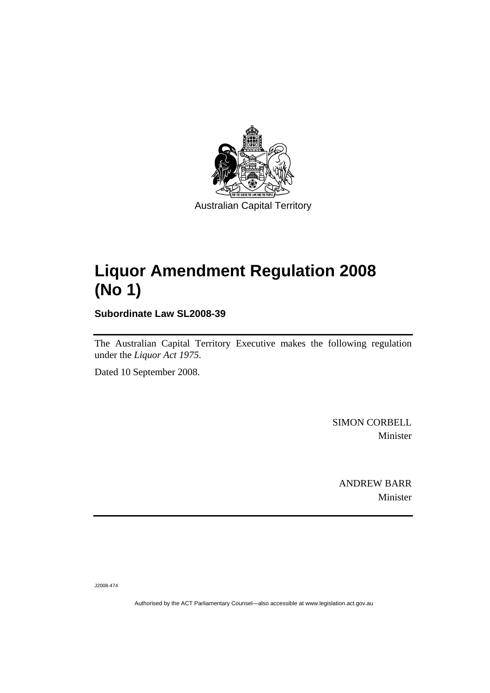

# **[Liquor Amendment Regulation 2008](#page-2-0)  [\(No 1\)](#page-2-0)**

**Subordinate Law SL2008-39** 

The Australian Capital Territory Executive makes the following regulation under the *[Liquor Act 1975](#page-2-0)*.

Dated 10 September 2008.

SIMON CORBELL Minister

ANDREW BARR Minister

J2008-474

Authorised by the ACT Parliamentary Counsel—also accessible at www.legislation.act.gov.au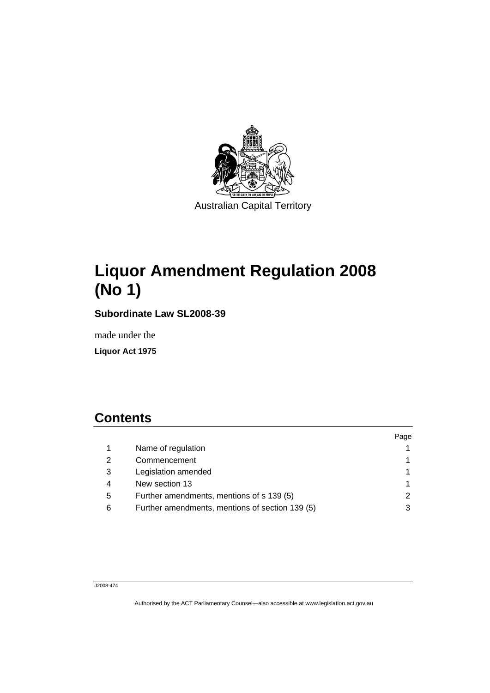<span id="page-2-0"></span>

# **Liquor Amendment Regulation 2008 (No 1)**

**Subordinate Law SL2008-39** 

made under the

**Liquor Act 1975** 

## **Contents**

|                                                 | Page |
|-------------------------------------------------|------|
| Name of regulation                              |      |
| Commencement                                    |      |
| Legislation amended                             |      |
| New section 13                                  |      |
| Further amendments, mentions of s 139 (5)       |      |
| Further amendments, mentions of section 139 (5) |      |
|                                                 |      |

#### J2008-474

Authorised by the ACT Parliamentary Counsel—also accessible at www.legislation.act.gov.au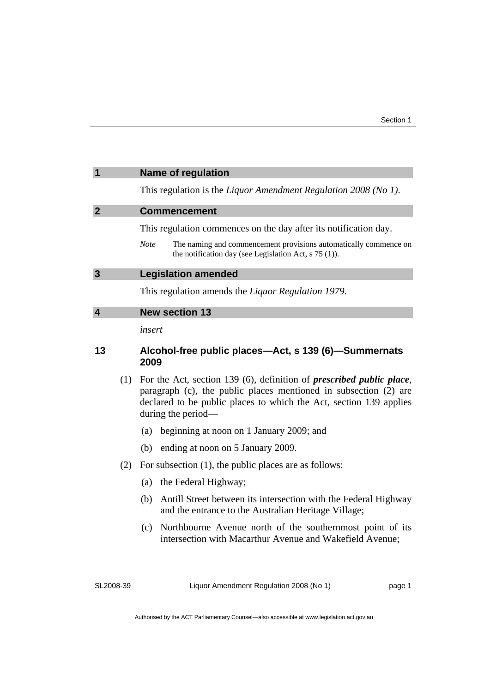<span id="page-4-0"></span>

|                         | <b>Name of regulation</b>                                                                                                                  |
|-------------------------|--------------------------------------------------------------------------------------------------------------------------------------------|
|                         | This regulation is the Liquor Amendment Regulation 2008 (No 1).                                                                            |
| $\overline{2}$          | <b>Commencement</b>                                                                                                                        |
|                         | This regulation commences on the day after its notification day.                                                                           |
|                         | The naming and commencement provisions automatically commence on<br><b>Note</b><br>the notification day (see Legislation Act, $s$ 75 (1)). |
| $\overline{\mathbf{3}}$ | <b>Legislation amended</b>                                                                                                                 |
|                         | This regulation amends the <i>Liquor Regulation 1979</i> .                                                                                 |
| $\boldsymbol{\Lambda}$  | <b>New section 13</b>                                                                                                                      |
|                         | $\frac{1}{2}$                                                                                                                              |

*insert* 

#### **13 Alcohol-free public places—Act, s 139 (6)—Summernats 2009**

- (1) For the Act, section 139 (6), definition of *prescribed public place*, paragraph (c), the public places mentioned in subsection (2) are declared to be public places to which the Act, section 139 applies during the period—
	- (a) beginning at noon on 1 January 2009; and
	- (b) ending at noon on 5 January 2009.
- (2) For subsection (1), the public places are as follows:
	- (a) the Federal Highway;
	- (b) Antill Street between its intersection with the Federal Highway and the entrance to the Australian Heritage Village;
	- (c) Northbourne Avenue north of the southernmost point of its intersection with Macarthur Avenue and Wakefield Avenue;

SL2008-39

Liquor Amendment Regulation 2008 (No 1)

page 1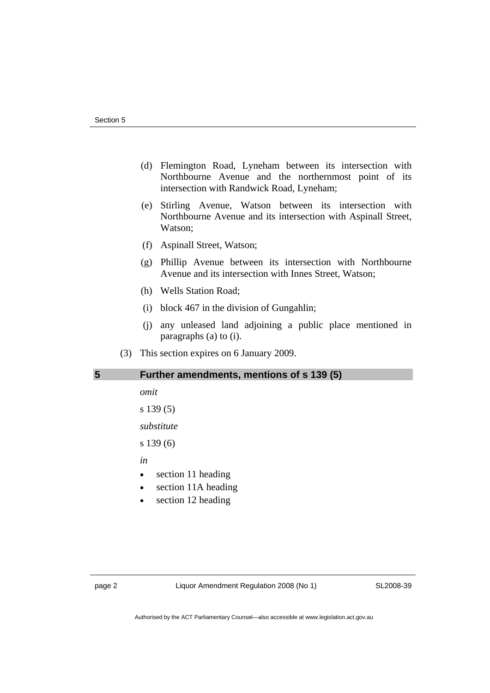- <span id="page-5-0"></span> (d) Flemington Road, Lyneham between its intersection with Northbourne Avenue and the northernmost point of its intersection with Randwick Road, Lyneham;
- (e) Stirling Avenue, Watson between its intersection with Northbourne Avenue and its intersection with Aspinall Street, Watson;
- (f) Aspinall Street, Watson;
- (g) Phillip Avenue between its intersection with Northbourne Avenue and its intersection with Innes Street, Watson;
- (h) Wells Station Road;
- (i) block 467 in the division of Gungahlin;
- (j) any unleased land adjoining a public place mentioned in paragraphs (a) to (i).
- (3) This section expires on 6 January 2009.

### **5 Further amendments, mentions of s 139 (5)**

*omit* 

```
s 139 (5)
```
*substitute* 

s 139 (6)

*in* 

- section 11 heading
- section 11A heading
- section 12 heading

page 2 Liquor Amendment Regulation 2008 (No 1)

SL2008-39